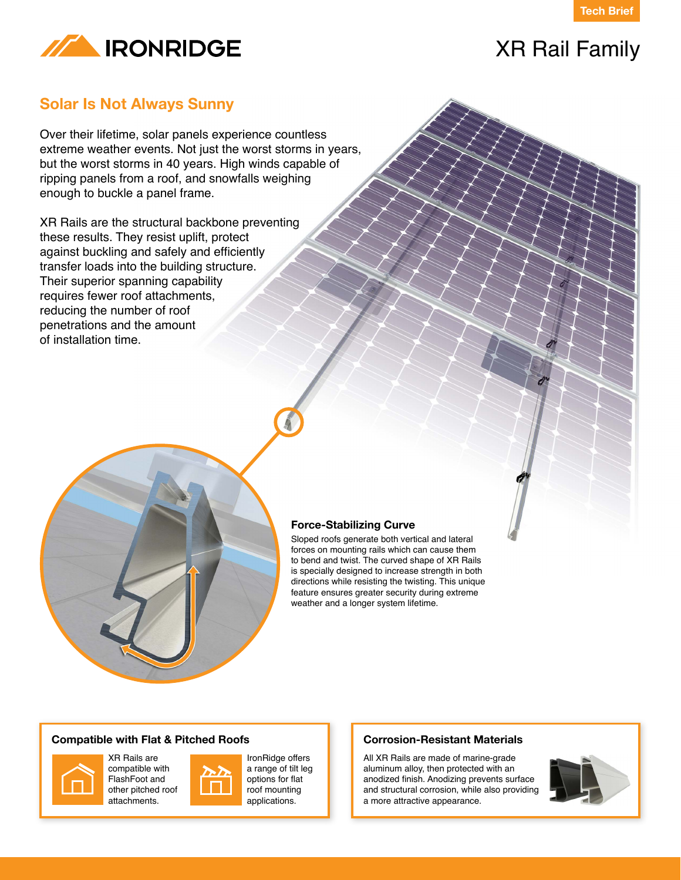



# XR Rail Family

### **Solar Is Not Always Sunny**

Over their lifetime, solar panels experience countless extreme weather events. Not just the worst storms in years, but the worst storms in 40 years. High winds capable of ripping panels from a roof, and snowfalls weighing enough to buckle a panel frame.

XR Rails are the structural backbone preventing these results. They resist uplift, protect against buckling and safely and efficiently transfer loads into the building structure. Their superior spanning capability requires fewer roof attachments, reducing the number of roof penetrations and the amount of installation time.



Sloped roofs generate both vertical and lateral forces on mounting rails which can cause them to bend and twist. The curved shape of XR Rails is specially designed to increase strength in both directions while resisting the twisting. This unique feature ensures greater security during extreme weather and a longer system lifetime.

#### **Compatible with Flat & Pitched Roofs**



XR Rails are compatible with FlashFoot and other pitched roof attachments.



IronRidge offers a range of tilt leg options for flat roof mounting applications.

#### **Corrosion-Resistant Materials**

All XR Rails are made of marine-grade aluminum alloy, then protected with an anodized finish. Anodizing prevents surface and structural corrosion, while also providing a more attractive appearance.